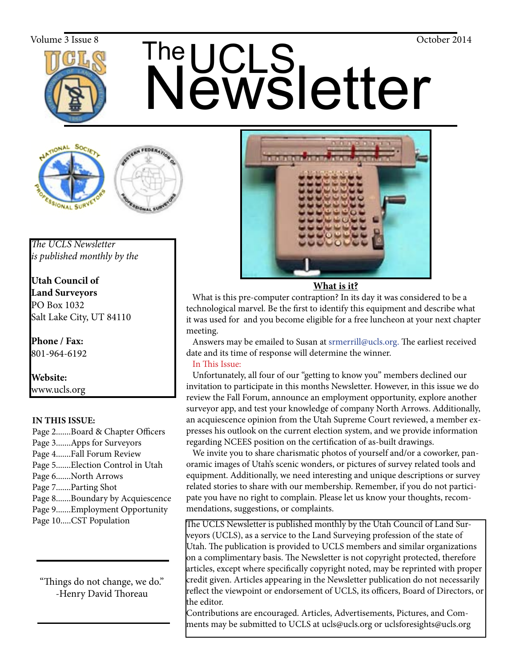

# The UCLS<br>Newsletter Volume 3 Issue 8  $\overline{\text{The}}$  The  $\overline{\text{The}}$   $\overline{\text{The}}$





*The UCLS Newsletter is published monthly by the*

**Utah Council of Land Surveyors** PO Box 1032 Salt Lake City, UT 84110

**Phone / Fax:**  801-964-6192

**Website:** www.ucls.org

### **IN THIS ISSUE:**

Page 2.......Board & Chapter Officers Page 3.......Apps for Surveyors Page 4.......Fall Forum Review Page 5.......Election Control in Utah Page 6.......North Arrows Page 7.......Parting Shot Page 8.......Boundary by Acquiescence Page 9.......Employment Opportunity Page 10.....CST Population

"Things do not change, we do." -Henry David Thoreau



**What is it?**

What is this pre-computer contraption? In its day it was considered to be a technological marvel. Be the first to identify this equipment and describe what it was used for and you become eligible for a free luncheon at your next chapter meeting.

 Answers may be emailed to Susan at srmerrill@ucls.org. The earliest received date and its time of response will determine the winner.

In This Issue:

 Unfortunately, all four of our "getting to know you" members declined our invitation to participate in this months Newsletter. However, in this issue we do review the Fall Forum, announce an employment opportunity, explore another surveyor app, and test your knowledge of company North Arrows. Additionally, an acquiescence opinion from the Utah Supreme Court reviewed, a member expresses his outlook on the current election system, and we provide information regarding NCEES position on the certification of as-built drawings.

 We invite you to share charismatic photos of yourself and/or a coworker, panoramic images of Utah's scenic wonders, or pictures of survey related tools and equipment. Additionally, we need interesting and unique descriptions or survey related stories to share with our membership. Remember, if you do not participate you have no right to complain. Please let us know your thoughts, recommendations, suggestions, or complaints.

The UCLS Newsletter is published monthly by the Utah Council of Land Surveyors (UCLS), as a service to the Land Surveying profession of the state of Utah. The publication is provided to UCLS members and similar organizations on a complimentary basis. The Newsletter is not copyright protected, therefore articles, except where specifically copyright noted, may be reprinted with proper credit given. Articles appearing in the Newsletter publication do not necessarily reflect the viewpoint or endorsement of UCLS, its officers, Board of Directors, or the editor.

Contributions are encouraged. Articles, Advertisements, Pictures, and Comments may be submitted to UCLS at ucls@ucls.org or uclsforesights@ucls.org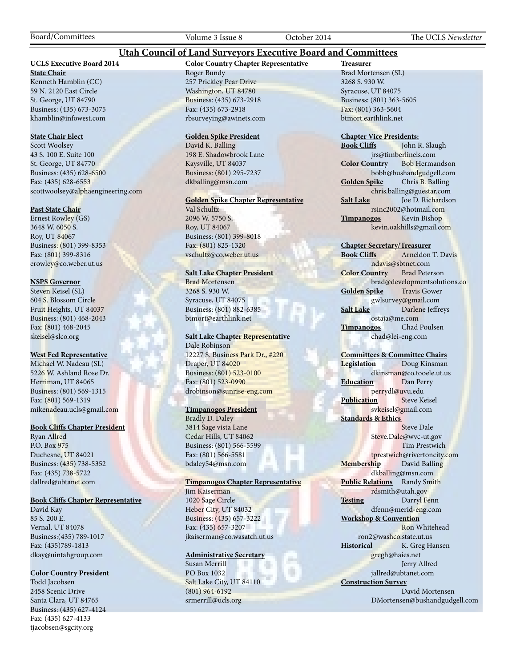Board/Committees Volume 3 Issue 8 October 2014 The UCLS *Newsletter*

#### **Utah Council of Land Surveyors Executive Board and Committees**

#### **UCLS Executive Board 2014**

**State Chair** Kenneth Hamblin (CC) 59 N. 2120 East Circle St. George, UT 84790 Business: (435) 673-3075 khamblin@infowest.com

#### **State Chair Elect**

Scott Woolsey 43 S. 100 E. Suite 100 St. George, UT 84770 Business: (435) 628-6500 Fax: (435) 628-6553 scottwoolsey@alphaengineering.com

#### **Past State Chair**

Ernest Rowley (GS) 3648 W. 6050 S. Roy, UT 84067 Business: (801) 399-8353 Fax: (801) 399-8316 erowley@co.weber.ut.us

#### **NSPS Governor**

Steven Keisel (SL) 604 S. Blossom Circle Fruit Heights, UT 84037 Business: (801) 468-2043 Fax: (801) 468-2045 skeisel@slco.org

#### **West Fed Representative**

Michael W. Nadeau (SL) 5226 W. Ashland Rose Dr. Herriman, UT 84065 Business: (801) 569-1315 Fax: (801) 569-1319 mikenadeau.ucls@gmail.com

#### **Book Cliffs Chapter President**

Ryan Allred P.O. Box 975 Duchesne, UT 84021 Business: (435) 738-5352 Fax: (435) 738-5722 dallred@ubtanet.com

#### **Book Cliffs Chapter Representative**

David Kay 85 S. 200 E. Vernal, UT 84078 Business:(435) 789-1017 Fax: (435)789-1813 dkay@uintahgroup.com

#### **Color Country President**

Todd Jacobsen 2458 Scenic Drive Santa Clara, UT 84765 Business: (435) 627-4124 Fax: (435) 627-4133 tjacobsen@sgcity.org

#### **Color Country Chapter Representative** Roger Bundy 257 Prickley Pear Drive Washington, UT 84780 Business: (435) 673-2918 Fax: (435) 673-2918 rbsurveying@awinets.com

#### **Golden Spike President**

David K. Balling 198 E. Shadowbrook Lane Kaysville, UT 84037 Business: (801) 295-7237 dkballing@msn.com

#### **Golden Spike Chapter Representative**

Val Schultz 2096 W. 5750 S. Roy, UT 84067 Business: (801) 399-8018 Fax: (801) 825-1320 vschultz@co.weber.ut.us

#### **Salt Lake Chapter President**

Brad Mortensen 3268 S. 930 W. Syracuse, UT 84075 Business: (801) 882-6385 btmort@earthlink.net

#### **Salt Lake Chapter Representative** Dale Robinson

12227 S. Business Park Dr., #220 Draper, UT 84020 Business: (801) 523-0100 Fax: (801) 523-0990 drobinson@sunrise-eng.com

#### **Timpanogos President**

Bradly D. Daley 3814 Sage vista Lane Cedar Hills, UT 84062 Business: (801) 566-5599 Fax: (801) 566-5581 bdaley54@msn.com

#### **Timpanogos Chapter Representative**

Jim Kaiserman 1020 Sage Circle Heber City, UT 84032 Business: (435) 657-3222 Fax: (435) 657-3207 jkaiserman@co.wasatch.ut.us

#### **Administrative Secretary**

Susan Merrill PO Box 1032 Salt Lake City, UT 84110 (801) 964-6192 srmerrill@ucls.org

**Treasurer** Brad Mortensen (SL) 3268 S. 930 W. Syracuse, UT 84075 Business: (801) 363-5605 Fax: (801) 363-5604 btmort.earthlink.net

## **Chapter Vice Presidents:**

John R. Slaugh jrs@timberlinels.com **Color Country** Bob Hermandson bobh@bushandgudgell.com **Golden Spike** Chris B. Balling chris.balling@guestar.com **Salt Lake** Joe D. Richardson rsinc2002@hotmail.com **Timpanogos** Kevin Bishop kevin.oakhills@gmail.com

#### **Chapter Secretary/Treasurer**

**Book Cliffs** Arneldon T. Davis ndavis@sbtnet.com **Color Country** Brad Peterson brad@developmentsolutions.co **Golden Spike** Travis Gower gwlsurvey@gmail.com **Salt Lake** Darlene Jeffreys ostaja@me.com **Timpanogos** Chad Poulsen chad@lei-eng.com

#### **Committees & Committee Chairs**

**Legislation** Doug Kinsman dkinsman@co.tooele.ut.us **Education** Dan Perry perrydl@uvu.edu **Publication** Steve Keisel svkeisel@gmail.com **Standards & Ethics** Steve Dale Steve.Dale@wvc-ut.gov Tim Prestwich tprestwich@rivertoncity.com **Membership** David Balling

dkballing@msn.com **Public Relations** Randy Smith rdsmith@utah.gov **Testing** Darryl Fenn dfenn@merid-eng.com

**Workshop & Convention** Ron Whitehead ron2@washco.state.ut.us **Historical** K. Greg Hansen gregh@haies.net

 Jerry Allred jallred@ubtanet.com **Construction Survey**

 David Mortensen DMortensen@bushandgudgell.com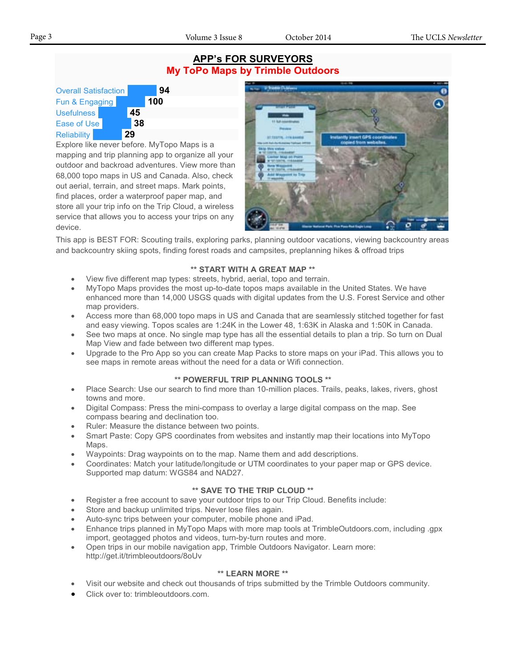#### **APP's FOR SURVEYORS My ToPo Maps by Trimble Outdoors**

| <b>Overall Satisfaction</b> |  |    |     |
|-----------------------------|--|----|-----|
| Fun & Engaging              |  |    | 100 |
| <b>Usefulness</b>           |  | 45 |     |
| Ease of Use                 |  | 38 |     |
| <b>Reliability</b>          |  |    |     |

Explore like never before. MyTopo Maps is a mapping and trip planning app to organize all your outdoor and backroad adventures. View more than 68,000 topo maps in US and Canada. Also, check out aerial, terrain, and street maps. Mark points, find places, order a waterproof paper map, and store all your trip info on the Trip Cloud, a wireless service that allows you to access your trips on any device.



This app is BEST FOR: Scouting trails, exploring parks, planning outdoor vacations, viewing backcountry areas and backcountry skiing spots, finding forest roads and campsites, preplanning hikes & offroad trips

#### **\*\* START WITH A GREAT MAP \*\***

- View five different map types: streets, hybrid, aerial, topo and terrain.
- MyTopo Maps provides the most up-to-date topos maps available in the United States. We have enhanced more than 14,000 USGS quads with digital updates from the U.S. Forest Service and other map providers.
- Access more than 68,000 topo maps in US and Canada that are seamlessly stitched together for fast and easy viewing. Topos scales are 1:24K in the Lower 48, 1:63K in Alaska and 1:50K in Canada.
- See two maps at once. No single map type has all the essential details to plan a trip. So turn on Dual Map View and fade between two different map types.
- Upgrade to the Pro App so you can create Map Packs to store maps on your iPad. This allows you to see maps in remote areas without the need for a data or Wifi connection.

#### **\*\* POWERFUL TRIP PLANNING TOOLS \*\***

- Place Search: Use our search to find more than 10-million places. Trails, peaks, lakes, rivers, ghost towns and more.
- Digital Compass: Press the mini-compass to overlay a large digital compass on the map. See compass bearing and declination too.
- Ruler: Measure the distance between two points.
- Smart Paste: Copy GPS coordinates from websites and instantly map their locations into MyTopo Maps.
- Waypoints: Drag waypoints on to the map. Name them and add descriptions.
- Coordinates: Match your latitude/longitude or UTM coordinates to your paper map or GPS device. Supported map datum: WGS84 and NAD27.

#### **\*\* SAVE TO THE TRIP CLOUD \*\***

- Register a free account to save your outdoor trips to our Trip Cloud. Benefits include:
- Store and backup unlimited trips. Never lose files again.
- Auto-sync trips between your computer, mobile phone and iPad.
- Enhance trips planned in MyTopo Maps with more map tools at TrimbleOutdoors.com, including .gpx import, geotagged photos and videos, turn-by-turn routes and more.
- Open trips in our mobile navigation app, Trimble Outdoors Navigator. Learn more: http://get.it/trimbleoutdoors/8oUv

#### **\*\* LEARN MORE \*\***

- Visit our website and check out thousands of trips submitted by the Trimble Outdoors community.
- Click over to: trimbleoutdoors.com.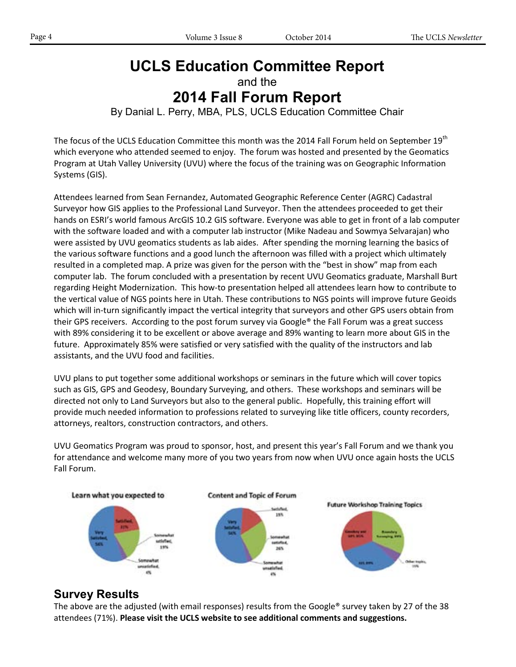## **UCLS Education Committee Report**

and the

## **2014 Fall Forum Report**

#### By Danial L. Perry, MBA, PLS, UCLS Education Committee Chair

The focus of the UCLS Education Committee this month was the 2014 Fall Forum held on September 19<sup>th</sup> which everyone who attended seemed to enjoy. The forum was hosted and presented by the Geomatics Program at Utah Valley University (UVU) where the focus of the training was on Geographic Information Systems (GIS).

Attendees learned from Sean Fernandez, Automated Geographic Reference Center (AGRC) Cadastral Surveyor how GIS applies to the Professional Land Surveyor. Then the attendees proceeded to get their hands on ESRI's world famous ArcGIS 10.2 GIS software. Everyone was able to get in front of a lab computer with the software loaded and with a computer lab instructor (Mike Nadeau and Sowmya Selvarajan) who were assisted by UVU geomatics students as lab aides. After spending the morning learning the basics of the various software functions and a good lunch the afternoon was filled with a project which ultimately resulted in a completed map. A prize was given for the person with the "best in show" map from each computer lab. The forum concluded with a presentation by recent UVU Geomatics graduate, Marshall Burt regarding Height Modernization. This how-to presentation helped all attendees learn how to contribute to the vertical value of NGS points here in Utah. These contributions to NGS points will improve future Geoids which will in-turn significantly impact the vertical integrity that surveyors and other GPS users obtain from their GPS receivers. According to the post forum survey via Google® the Fall Forum was a great success with 89% considering it to be excellent or above average and 89% wanting to learn more about GIS in the future. Approximately 85% were satisfied or very satisfied with the quality of the instructors and lab assistants, and the UVU food and facilities.

UVU plans to put together some additional workshops or seminars in the future which will cover topics such as GIS, GPS and Geodesy, Boundary Surveying, and others. These workshops and seminars will be directed not only to Land Surveyors but also to the general public. Hopefully, this training effort will provide much needed information to professions related to surveying like title officers, county recorders, attorneys, realtors, construction contractors, and others.

UVU Geomatics Program was proud to sponsor, host, and present this year's Fall Forum and we thank you for attendance and welcome many more of you two years from now when UVU once again hosts the UCLS Fall Forum.



## **Survey Results**

The above are the adjusted (with email responses) results from the Google® survey taken by 27 of the 38 attendees (71%). **Please visit the UCLS website to see additional comments and suggestions.**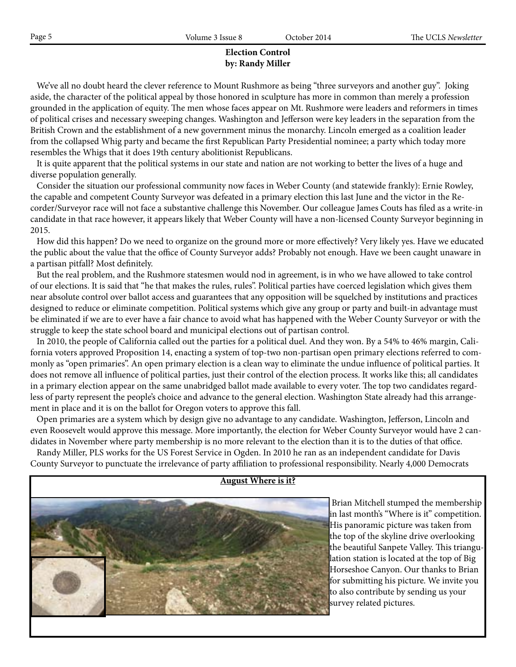#### **Election Control by: Randy Miller**

We've all no doubt heard the clever reference to Mount Rushmore as being "three surveyors and another guy". Joking aside, the character of the political appeal by those honored in sculpture has more in common than merely a profession grounded in the application of equity. The men whose faces appear on Mt. Rushmore were leaders and reformers in times of political crises and necessary sweeping changes. Washington and Jefferson were key leaders in the separation from the British Crown and the establishment of a new government minus the monarchy. Lincoln emerged as a coalition leader from the collapsed Whig party and became the first Republican Party Presidential nominee; a party which today more resembles the Whigs that it does 19th century abolitionist Republicans.

 It is quite apparent that the political systems in our state and nation are not working to better the lives of a huge and diverse population generally.

 Consider the situation our professional community now faces in Weber County (and statewide frankly): Ernie Rowley, the capable and competent County Surveyor was defeated in a primary election this last June and the victor in the Recorder/Surveyor race will not face a substantive challenge this November. Our colleague James Couts has filed as a write-in candidate in that race however, it appears likely that Weber County will have a non-licensed County Surveyor beginning in 2015.

 How did this happen? Do we need to organize on the ground more or more effectively? Very likely yes. Have we educated the public about the value that the office of County Surveyor adds? Probably not enough. Have we been caught unaware in a partisan pitfall? Most definitely.

 But the real problem, and the Rushmore statesmen would nod in agreement, is in who we have allowed to take control of our elections. It is said that "he that makes the rules, rules". Political parties have coerced legislation which gives them near absolute control over ballot access and guarantees that any opposition will be squelched by institutions and practices designed to reduce or eliminate competition. Political systems which give any group or party and built-in advantage must be eliminated if we are to ever have a fair chance to avoid what has happened with the Weber County Surveyor or with the struggle to keep the state school board and municipal elections out of partisan control.

 In 2010, the people of California called out the parties for a political duel. And they won. By a 54% to 46% margin, California voters approved Proposition 14, enacting a system of top-two non-partisan open primary elections referred to commonly as "open primaries". An open primary election is a clean way to eliminate the undue influence of political parties. It does not remove all influence of political parties, just their control of the election process. It works like this; all candidates in a primary election appear on the same unabridged ballot made available to every voter. The top two candidates regardless of party represent the people's choice and advance to the general election. Washington State already had this arrangement in place and it is on the ballot for Oregon voters to approve this fall.

 Open primaries are a system which by design give no advantage to any candidate. Washington, Jefferson, Lincoln and even Roosevelt would approve this message. More importantly, the election for Weber County Surveyor would have 2 candidates in November where party membership is no more relevant to the election than it is to the duties of that office.

 Randy Miller, PLS works for the US Forest Service in Ogden. In 2010 he ran as an independent candidate for Davis County Surveyor to punctuate the irrelevance of party affiliation to professional responsibility. Nearly 4,000 Democrats



#### **August Where is it?**

 Brian Mitchell stumped the membership in last month's "Where is it" competition. His panoramic picture was taken from the top of the skyline drive overlooking the beautiful Sanpete Valley. This triangulation station is located at the top of Big Horseshoe Canyon. Our thanks to Brian for submitting his picture. We invite you to also contribute by sending us your survey related pictures.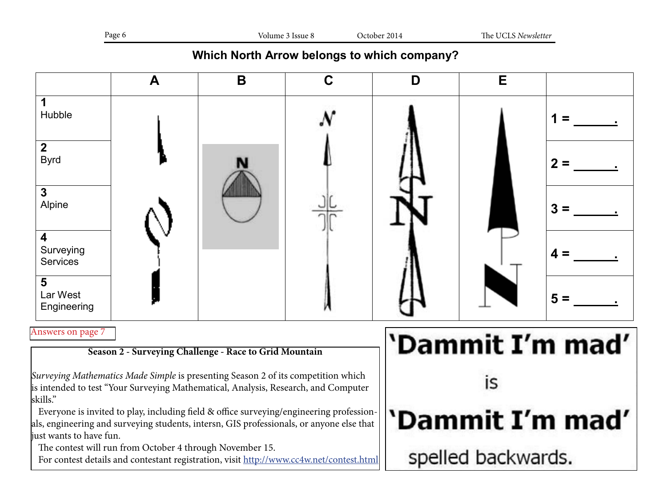|--|

## **Which North Arrow belongs to which company?**

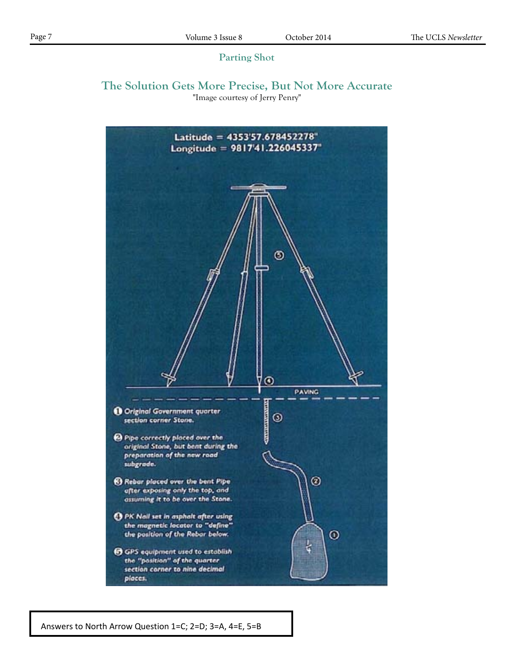#### **Parting Shot**

#### **The Solution Gets More Precise, But Not More Accurate** "Image courtesy of Jerry Penry"



Answers to North Arrow Question 1=C; 2=D; 3=A, 4=E, 5=B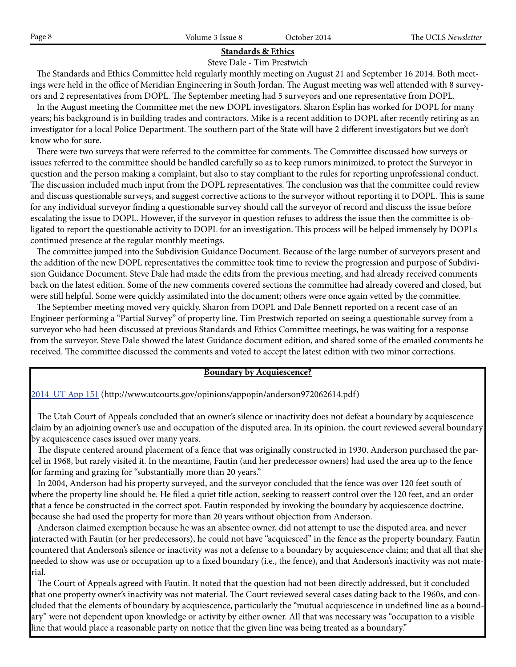## **Standards & Ethics**

Steve Dale - Tim Prestwich

 The Standards and Ethics Committee held regularly monthly meeting on August 21 and September 16 2014. Both meetings were held in the office of Meridian Engineering in South Jordan. The August meeting was well attended with 8 surveyors and 2 representatives from DOPL. The September meeting had 5 surveyors and one representative from DOPL.

 In the August meeting the Committee met the new DOPL investigators. Sharon Esplin has worked for DOPL for many years; his background is in building trades and contractors. Mike is a recent addition to DOPL after recently retiring as an investigator for a local Police Department. The southern part of the State will have 2 different investigators but we don't know who for sure.

 There were two surveys that were referred to the committee for comments. The Committee discussed how surveys or issues referred to the committee should be handled carefully so as to keep rumors minimized, to protect the Surveyor in question and the person making a complaint, but also to stay compliant to the rules for reporting unprofessional conduct. The discussion included much input from the DOPL representatives. The conclusion was that the committee could review and discuss questionable surveys, and suggest corrective actions to the surveyor without reporting it to DOPL. This is same for any individual surveyor finding a questionable survey should call the surveyor of record and discuss the issue before escalating the issue to DOPL. However, if the surveyor in question refuses to address the issue then the committee is obligated to report the questionable activity to DOPL for an investigation. This process will be helped immensely by DOPLs continued presence at the regular monthly meetings.

 The committee jumped into the Subdivision Guidance Document. Because of the large number of surveyors present and the addition of the new DOPL representatives the committee took time to review the progression and purpose of Subdivision Guidance Document. Steve Dale had made the edits from the previous meeting, and had already received comments back on the latest edition. Some of the new comments covered sections the committee had already covered and closed, but were still helpful. Some were quickly assimilated into the document; others were once again vetted by the committee.

 The September meeting moved very quickly. Sharon from DOPL and Dale Bennett reported on a recent case of an Engineer performing a "Partial Survey" of property line. Tim Prestwich reported on seeing a questionable survey from a surveyor who had been discussed at previous Standards and Ethics Committee meetings, he was waiting for a response from the surveyor. Steve Dale showed the latest Guidance document edition, and shared some of the emailed comments he received. The committee discussed the comments and voted to accept the latest edition with two minor corrections.

#### **Boundary by Acquiescence?**

2014 UT App 151 (http://www.utcourts.gov/opinions/appopin/anderson972062614.pdf)

 The Utah Court of Appeals concluded that an owner's silence or inactivity does not defeat a boundary by acquiescence claim by an adjoining owner's use and occupation of the disputed area. In its opinion, the court reviewed several boundary by acquiescence cases issued over many years.

 The dispute centered around placement of a fence that was originally constructed in 1930. Anderson purchased the parcel in 1968, but rarely visited it. In the meantime, Fautin (and her predecessor owners) had used the area up to the fence for farming and grazing for "substantially more than 20 years."

 In 2004, Anderson had his property surveyed, and the surveyor concluded that the fence was over 120 feet south of where the property line should be. He filed a quiet title action, seeking to reassert control over the 120 feet, and an order that a fence be constructed in the correct spot. Fautin responded by invoking the boundary by acquiescence doctrine, because she had used the property for more than 20 years without objection from Anderson.

 Anderson claimed exemption because he was an absentee owner, did not attempt to use the disputed area, and never interacted with Fautin (or her predecessors), he could not have "acquiesced" in the fence as the property boundary. Fautin countered that Anderson's silence or inactivity was not a defense to a boundary by acquiescence claim; and that all that she needed to show was use or occupation up to a fixed boundary (i.e., the fence), and that Anderson's inactivity was not material.

 The Court of Appeals agreed with Fautin. It noted that the question had not been directly addressed, but it concluded that one property owner's inactivity was not material. The Court reviewed several cases dating back to the 1960s, and concluded that the elements of boundary by acquiescence, particularly the "mutual acquiescence in undefined line as a boundary" were not dependent upon knowledge or activity by either owner. All that was necessary was "occupation to a visible line that would place a reasonable party on notice that the given line was being treated as a boundary."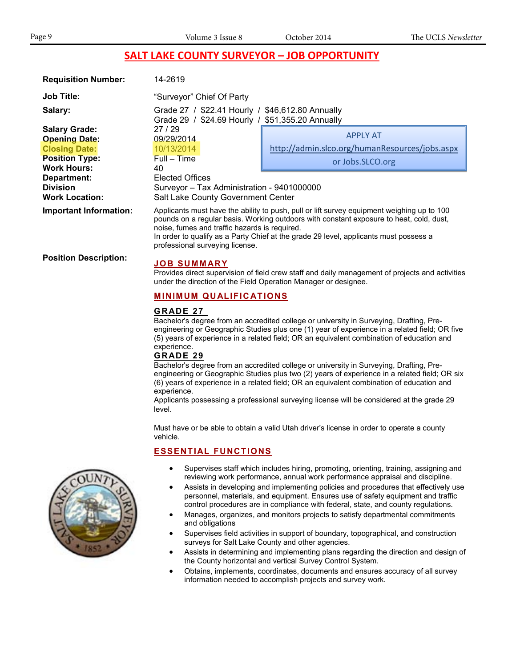#### **SALT LAKE COUNTY SURVEYOR – JOB OPPORTUNITY**

| <b>Requisition Number:</b>    | 14-2619                                                                                                                                                                                                                                                                                                                                                            |                                                |  |
|-------------------------------|--------------------------------------------------------------------------------------------------------------------------------------------------------------------------------------------------------------------------------------------------------------------------------------------------------------------------------------------------------------------|------------------------------------------------|--|
| <b>Job Title:</b>             | "Surveyor" Chief Of Party                                                                                                                                                                                                                                                                                                                                          |                                                |  |
| Salary:                       | Grade 27 / \$22.41 Hourly / \$46,612.80 Annually<br>Grade 29 / \$24.69 Hourly / \$51,355.20 Annually                                                                                                                                                                                                                                                               |                                                |  |
| <b>Salary Grade:</b>          | 27/29                                                                                                                                                                                                                                                                                                                                                              |                                                |  |
| <b>Opening Date:</b>          | 09/29/2014                                                                                                                                                                                                                                                                                                                                                         | <b>APPLY AT</b>                                |  |
| <b>Closing Date:</b>          | 10/13/2014                                                                                                                                                                                                                                                                                                                                                         | http://admin.slco.org/humanResources/jobs.aspx |  |
| <b>Position Type:</b>         | $Full - Time$                                                                                                                                                                                                                                                                                                                                                      | or Jobs.SLCO.org                               |  |
| <b>Work Hours:</b>            | 40                                                                                                                                                                                                                                                                                                                                                                 |                                                |  |
| Department:                   | Elected Offices                                                                                                                                                                                                                                                                                                                                                    |                                                |  |
| <b>Division</b>               | Surveyor - Tax Administration - 9401000000                                                                                                                                                                                                                                                                                                                         |                                                |  |
| <b>Work Location:</b>         | Salt Lake County Government Center                                                                                                                                                                                                                                                                                                                                 |                                                |  |
| <b>Important Information:</b> | Applicants must have the ability to push, pull or lift survey equipment weighing up to 100<br>pounds on a regular basis. Working outdoors with constant exposure to heat, cold, dust,<br>noise, fumes and traffic hazards is required.<br>In order to qualify as a Party Chief at the grade 29 level, applicants must possess a<br>professional surveying license. |                                                |  |

**Position Description: JOB SUMMARY**

Provides direct supervision of field crew staff and daily management of projects and activities under the direction of the Field Operation Manager or designee.

#### **MINIMUM QUALIFICATIONS**

#### **GRADE 27**

Bachelor's degree from an accredited college or university in Surveying, Drafting, Preengineering or Geographic Studies plus one (1) year of experience in a related field; OR five (5) years of experience in a related field; OR an equivalent combination of education and experience.

#### **GRADE 29**

Bachelor's degree from an accredited college or university in Surveying, Drafting, Preengineering or Geographic Studies plus two (2) years of experience in a related field; OR six (6) years of experience in a related field; OR an equivalent combination of education and experience.

Applicants possessing a professional surveying license will be considered at the grade 29 level.

Must have or be able to obtain a valid Utah driver's license in order to operate a county vehicle.

#### **ESSENTIAL FUNCTIONS**

- Supervises staff which includes hiring, promoting, orienting, training, assigning and reviewing work performance, annual work performance appraisal and discipline.
- Assists in developing and implementing policies and procedures that effectively use personnel, materials, and equipment. Ensures use of safety equipment and traffic control procedures are in compliance with federal, state, and county regulations.
- Manages, organizes, and monitors projects to satisfy departmental commitments and obligations
- Supervises field activities in support of boundary, topographical, and construction surveys for Salt Lake County and other agencies.
- Assists in determining and implementing plans regarding the direction and design of the County horizontal and vertical Survey Control System.
- Obtains, implements, coordinates, documents and ensures accuracy of all survey information needed to accomplish projects and survey work.